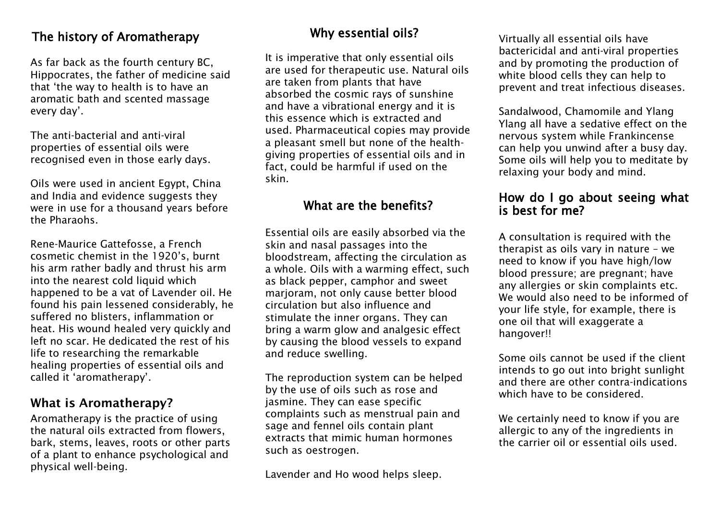## The history of Aromatherapy

As far back as the fourth century BC, Hippocrates, the father of medicine said that 'the way to health is to have an aromatic bath and scented massage every day'.

The anti-bacterial and anti-viral properties of essential oils were recognised even in those early days.

Oils were used in ancient Egypt, China and India and evidence suggests they were in use for a thousand years before the Pharaohs.

Rene-Maurice Gattefosse, a French cosmetic chemist in the 1920's, burnt his arm rather badly and thrust his arm into the nearest cold liquid which happened to be a vat of Lavender oil. He found his pain lessened considerably, he suffered no blisters, inflammation or heat. His wound healed very quickly and left no scar. He dedicated the rest of his life to researching the remarkable healing properties of essential oils and called it 'aromatherapy'.

### **What is Aromatherapy?**

Aromatherapy is the practice of using the natural oils extracted from flowers, bark, stems, leaves, roots or other parts of a plant to enhance psychological and physical well-being.

## Why essential oils?

It is imperative that only essential oils are used for therapeutic use. Natural oils are taken from plants that have absorbed the cosmic rays of sunshine and have a vibrational energy and it is this essence which is extracted and used. Pharmaceutical copies may provide a pleasant smell but none of the healthgiving properties of essential oils and in fact, could be harmful if used on the skin.

## What are the benefits?

Essential oils are easily absorbed via the skin and nasal passages into the bloodstream, affecting the circulation as a whole. Oils with a warming effect, such as black pepper, camphor and sweet marioram, not only cause better blood circulation but also influence and stimulate the inner organs. They can bring a warm glow and analgesic effect by causing the blood vessels to expand and reduce swelling.

The reproduction system can be helped by the use of oils such as rose and jasmine. They can ease specific complaints such as menstrual pain and sage and fennel oils contain plant extracts that mimic human hormones such as oestrogen.

Lavender and Ho wood helps sleep.

Virtually all essential oils have bactericidal and anti-viral properties and by promoting the production of white blood cells they can help to prevent and treat infectious diseases.

Sandalwood, Chamomile and Ylang Ylang all have a sedative effect on the nervous system while Frankincense can help you unwind after a busy day. Some oils will help you to meditate by relaxing your body and mind.

#### How do I go about seeing what is best for me?

A consultation is required with the therapist as oils vary in nature – we need to know if you have high/low blood pressure; are pregnant; have any allergies or skin complaints etc. We would also need to be informed of your life style, for example, there is one oil that will exaggerate a hangover!!

Some oils cannot be used if the client intends to go out into bright sunlight and there are other contra-indications which have to be considered.

We certainly need to know if you are allergic to any of the ingredients in the carrier oil or essential oils used.